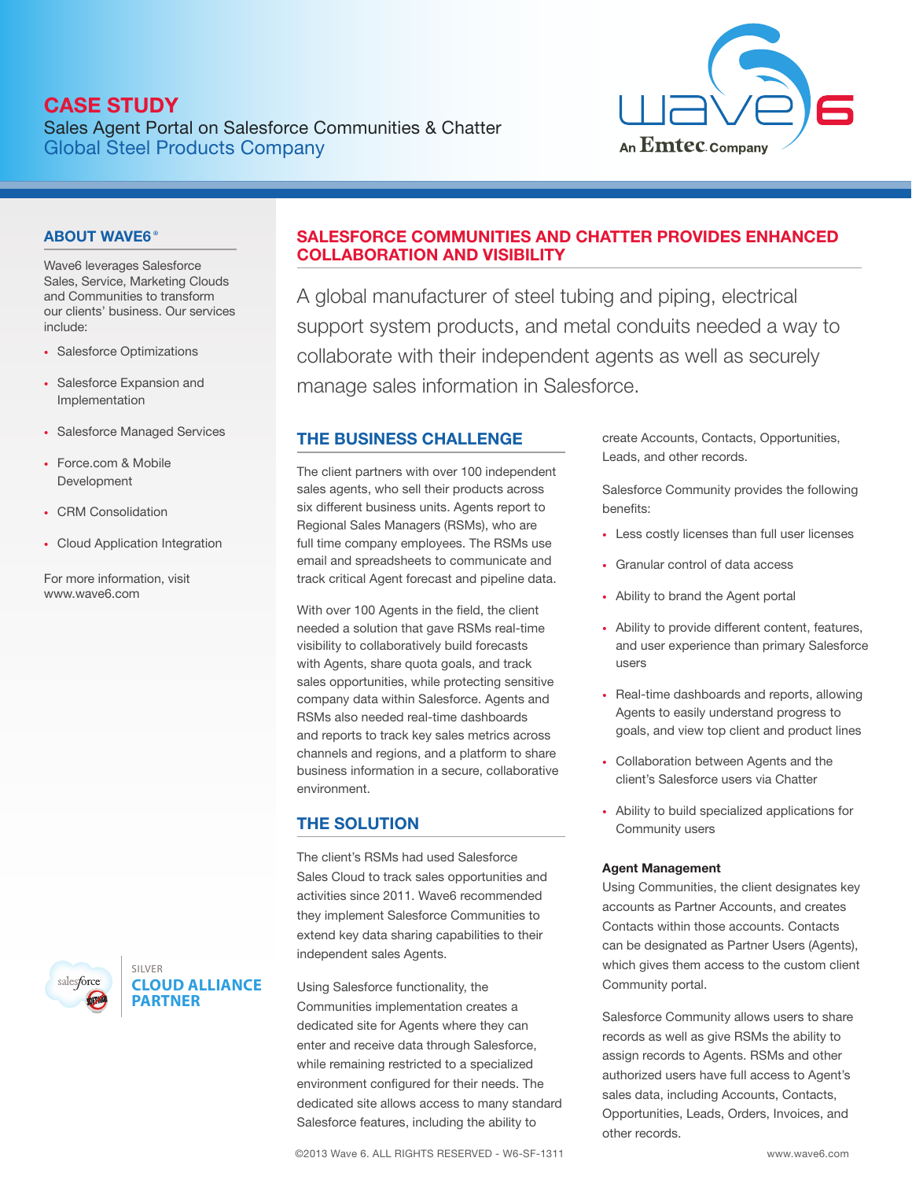# CASE STUDY

Sales Agent Portal on Salesforce Communities & Chatter Global Steel Products Company



## **ABOUT WAVE6®**

Wave6 leverages Salesforce Sales, Service, Marketing Clouds and Communities to transform our clients' business. Our services include:

- Salesforce Optimizations
- Salesforce Expansion and Implementation
- Salesforce Managed Services
- Force.com & Mobile Development
- CRM Consolidation
- Cloud Application Integration

For more information, visit www.wave6.com



# SALESFORCE COMMUNITIES AND CHATTER PROVIDES ENHANCED COLLABORATION AND VISIBILITY

A global manufacturer of steel tubing and piping, electrical support system products, and metal conduits needed a way to collaborate with their independent agents as well as securely manage sales information in Salesforce.

# THE BUSINESS CHALLENGE

The client partners with over 100 independent sales agents, who sell their products across six different business units. Agents report to Regional Sales Managers (RSMs), who are full time company employees. The RSMs use email and spreadsheets to communicate and track critical Agent forecast and pipeline data.

With over 100 Agents in the field, the client needed a solution that gave RSMs real-time visibility to collaboratively build forecasts with Agents, share quota goals, and track sales opportunities, while protecting sensitive company data within Salesforce. Agents and RSMs also needed real-time dashboards and reports to track key sales metrics across channels and regions, and a platform to share business information in a secure, collaborative environment.

# THE SOLUTION

The client's RSMs had used Salesforce Sales Cloud to track sales opportunities and activities since 2011. Wave6 recommended they implement Salesforce Communities to extend key data sharing capabilities to their independent sales Agents.

Using Salesforce functionality, the Communities implementation creates a dedicated site for Agents where they can enter and receive data through Salesforce, while remaining restricted to a specialized environment configured for their needs. The dedicated site allows access to many standard Salesforce features, including the ability to

©2013 Wave 6. ALL RIGHTS RESERVED - W6-SF-1311 [www.wave6.com](http://www.wave6.com)

create Accounts, Contacts, Opportunities, Leads, and other records.

Salesforce Community provides the following benefits:

- Less costly licenses than full user licenses
- Granular control of data access
- Ability to brand the Agent portal
- Ability to provide different content, features, and user experience than primary Salesforce users
- Real-time dashboards and reports, allowing Agents to easily understand progress to goals, and view top client and product lines
- Collaboration between Agents and the client's Salesforce users via Chatter
- Ability to build specialized applications for Community users

### Agent Management

Using Communities, the client designates key accounts as Partner Accounts, and creates Contacts within those accounts. Contacts can be designated as Partner Users (Agents), which gives them access to the custom client Community portal.

Salesforce Community allows users to share records as well as give RSMs the ability to assign records to Agents. RSMs and other authorized users have full access to Agent's sales data, including Accounts, Contacts, Opportunities, Leads, Orders, Invoices, and other records.